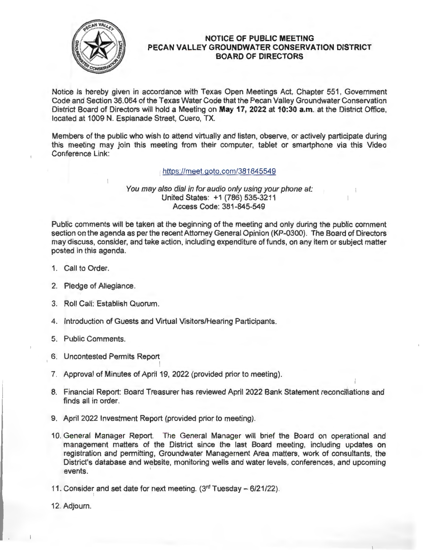

## **NOTICE OF PUBLIC MEETING PECAN VALLEY GROUNDWATER CONSERVATION DISTRICT BOARD OF DIRECTORS**

Notice is hereby given in accordance with Texas Open Meetings Act, Chapter 551, Government Code and Section 36.064 of the Texas Water Code that the Pecan Valley Groundwater Conservation District Board of Directors will hold a Meeting on **May 17, 2022 at 10:30 a.m.** at the District Office, located at 1009 N. Esplanade Street, Cuero, TX.

Members of the public who wish to attend virtually and listen, observe, or actively participate during this meeting may join this meeting from their computer, tablet or smartphone via this Video Conference Link:

## https://meet.goto.com/381845549

## You may also dial in for audio only using your phone at: United States: +1 (786) 535-3211 Access Code: 381-845-549

Public comments will be taken at the beginning of the meeting and only during the public comment section on the agenda as per the recent Attorney General Opinion (KP-0300). The Board of Directors may discuss, consider, and take action, including expenditure of funds, on any item or subject matter posted in this agenda.

- 1. Call to Order.
- 2. Pledge of Allegiance.
- 3. Roll Call: Establish Quorum.
- 4. Introduction of Guests and Virtual Visitors/Hearing Participants.
- 5. Public Comments.
- 6. Uncontested Permits Report
- 7. Approval of Minutes of April 19, 2022 (provided prior to meeting).
- I I 8. Financial Report: Board Treasurer has reviewed April 2022 Bank Statement reconciliations and finds all in order.
- 9. April 2022 Investment Report (provided prior to meeting).
- 10. General Manager Report. The General Manager will brief the Board on operational and management matters of the District since the last Board meeting, including updates on registration and permitting, Groundwater Management Area matters, work of consultants, the District's database and website, monitoring wells and water levels, conferences, and upcoming events.

11. Consider and set date for next meeting.  $(3<sup>rd</sup> Tuesday –  $6/21/22)$ ).$ 

12. Adjourn.